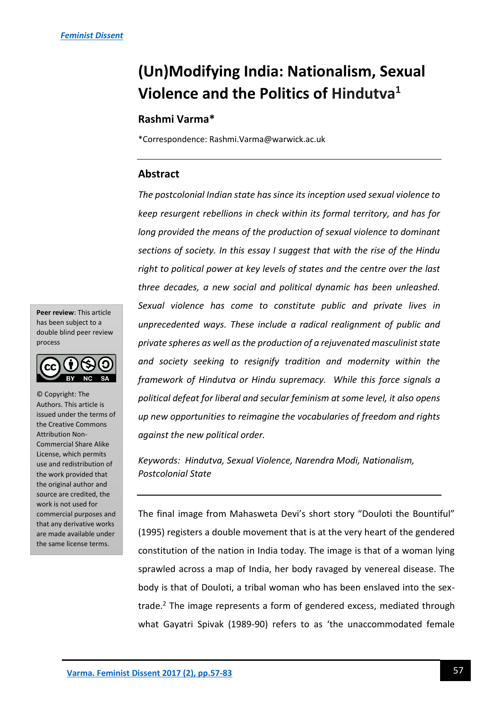# **(Un)Modifying India: Nationalism, Sexual Violence and the Politics of Hindutva<sup>1</sup>**

# **Rashmi Varma\***

\*Correspondence: Rashmi.Varma@warwick.ac.uk

## **Abstract**

*The postcolonial Indian state has since its inception used sexual violence to keep resurgent rebellions in check within its formal territory, and has for long provided the means of the production of sexual violence to dominant sections of society. In this essay I suggest that with the rise of the Hindu right to political power at key levels of states and the centre over the last three decades, a new social and political dynamic has been unleashed. Sexual violence has come to constitute public and private lives in unprecedented ways. These include a radical realignment of public and private spheres as well as the production of a rejuvenated masculinist state and society seeking to resignify tradition and modernity within the framework of Hindutva or Hindu supremacy. While this force signals a political defeat for liberal and secular feminism at some level, it also opens up new opportunities to reimagine the vocabularies of freedom and rights against the new political order.*

*Keywords: Hindutva, Sexual Violence, Narendra Modi, Nationalism, Postcolonial State*

The final image from Mahasweta Devi's short story "Douloti the Bountiful" (1995) registers a double movement that is at the very heart of the gendered constitution of the nation in India today. The image is that of a woman lying sprawled across a map of India, her body ravaged by venereal disease. The body is that of Douloti, a tribal woman who has been enslaved into the sextrade. $<sup>2</sup>$  The image represents a form of gendered excess, mediated through</sup> what Gayatri Spivak (1989-90) refers to as 'the unaccommodated female

**Peer review**: This article has been subject to a double blind peer review process



© Copyright: The Authors. This article is issued under the terms of the Creative Commons Attribution Non-Commercial Share Alike License, which permits use and redistribution of the work provided that the original author and source are credited, the work is not used for commercial purposes and that any derivative works are made available under the same license terms.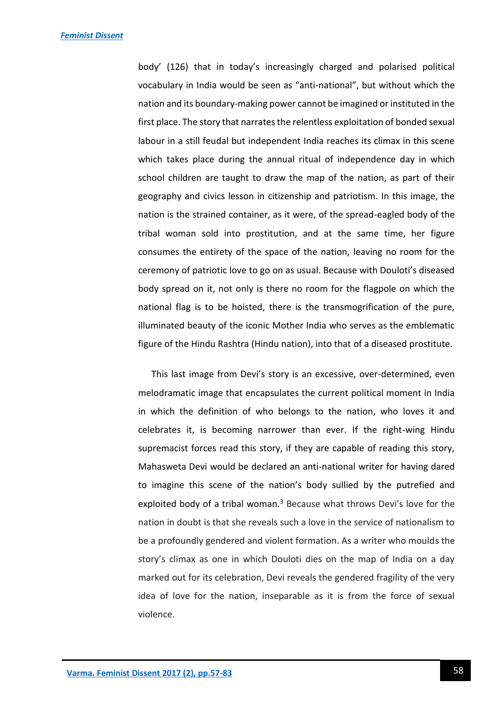body' (126) that in today's increasingly charged and polarised political vocabulary in India would be seen as "anti-national", but without which the nation and its boundary-making power cannot be imagined or instituted in the first place. The story that narrates the relentless exploitation of bonded sexual labour in a still feudal but independent India reaches its climax in this scene which takes place during the annual ritual of independence day in which school children are taught to draw the map of the nation, as part of their geography and civics lesson in citizenship and patriotism. In this image, the nation is the strained container, as it were, of the spread-eagled body of the tribal woman sold into prostitution, and at the same time, her figure consumes the entirety of the space of the nation, leaving no room for the ceremony of patriotic love to go on as usual. Because with Douloti's diseased body spread on it, not only is there no room for the flagpole on which the national flag is to be hoisted, there is the transmogrification of the pure, illuminated beauty of the iconic Mother India who serves as the emblematic figure of the Hindu Rashtra (Hindu nation), into that of a diseased prostitute.

This last image from Devi's story is an excessive, over-determined, even melodramatic image that encapsulates the current political moment in India in which the definition of who belongs to the nation, who loves it and celebrates it, is becoming narrower than ever. If the right-wing Hindu supremacist forces read this story, if they are capable of reading this story, Mahasweta Devi would be declared an anti-national writer for having dared to imagine this scene of the nation's body sullied by the putrefied and exploited body of a tribal woman.<sup>3</sup> Because what throws Devi's love for the nation in doubt is that she reveals such a love in the service of nationalism to be a profoundly gendered and violent formation. As a writer who moulds the story's climax as one in which Douloti dies on the map of India on a day marked out for its celebration, Devi reveals the gendered fragility of the very idea of love for the nation, inseparable as it is from the force of sexual violence.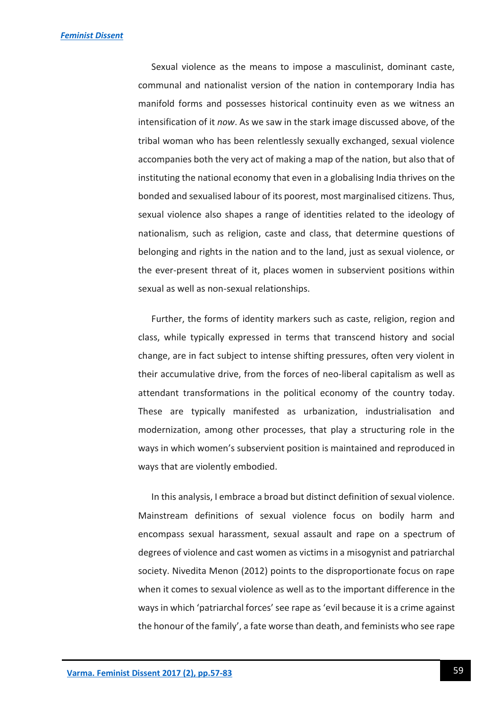Sexual violence as the means to impose a masculinist, dominant caste, communal and nationalist version of the nation in contemporary India has manifold forms and possesses historical continuity even as we witness an intensification of it *now*. As we saw in the stark image discussed above, of the tribal woman who has been relentlessly sexually exchanged, sexual violence accompanies both the very act of making a map of the nation, but also that of instituting the national economy that even in a globalising India thrives on the bonded and sexualised labour of its poorest, most marginalised citizens. Thus, sexual violence also shapes a range of identities related to the ideology of nationalism, such as religion, caste and class, that determine questions of belonging and rights in the nation and to the land, just as sexual violence, or the ever-present threat of it, places women in subservient positions within sexual as well as non-sexual relationships.

Further, the forms of identity markers such as caste, religion, region and class, while typically expressed in terms that transcend history and social change, are in fact subject to intense shifting pressures, often very violent in their accumulative drive, from the forces of neo-liberal capitalism as well as attendant transformations in the political economy of the country today. These are typically manifested as urbanization, industrialisation and modernization, among other processes, that play a structuring role in the ways in which women's subservient position is maintained and reproduced in ways that are violently embodied.

In this analysis, I embrace a broad but distinct definition of sexual violence. Mainstream definitions of sexual violence focus on bodily harm and encompass sexual harassment, sexual assault and rape on a spectrum of degrees of violence and cast women as victims in a misogynist and patriarchal society. Nivedita Menon (2012) points to the disproportionate focus on rape when it comes to sexual violence as well as to the important difference in the ways in which 'patriarchal forces' see rape as 'evil because it is a crime against the honour of the family', a fate worse than death, and feminists who see rape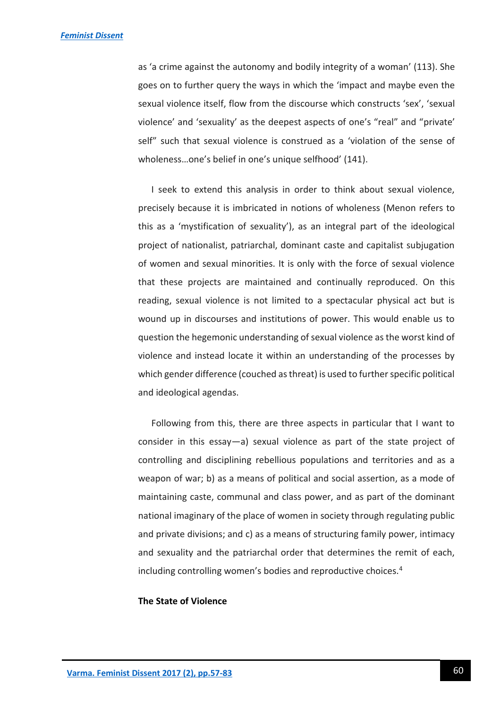as 'a crime against the autonomy and bodily integrity of a woman' (113). She goes on to further query the ways in which the 'impact and maybe even the sexual violence itself, flow from the discourse which constructs 'sex', 'sexual violence' and 'sexuality' as the deepest aspects of one's "real" and "private' self" such that sexual violence is construed as a 'violation of the sense of wholeness…one's belief in one's unique selfhood' (141).

I seek to extend this analysis in order to think about sexual violence, precisely because it is imbricated in notions of wholeness (Menon refers to this as a 'mystification of sexuality'), as an integral part of the ideological project of nationalist, patriarchal, dominant caste and capitalist subjugation of women and sexual minorities. It is only with the force of sexual violence that these projects are maintained and continually reproduced. On this reading, sexual violence is not limited to a spectacular physical act but is wound up in discourses and institutions of power. This would enable us to question the hegemonic understanding of sexual violence as the worst kind of violence and instead locate it within an understanding of the processes by which gender difference (couched as threat) is used to further specific political and ideological agendas.

Following from this, there are three aspects in particular that I want to consider in this essay—a) sexual violence as part of the state project of controlling and disciplining rebellious populations and territories and as a weapon of war; b) as a means of political and social assertion, as a mode of maintaining caste, communal and class power, and as part of the dominant national imaginary of the place of women in society through regulating public and private divisions; and c) as a means of structuring family power, intimacy and sexuality and the patriarchal order that determines the remit of each, including controlling women's bodies and reproductive choices.<sup>4</sup>

#### **The State of Violence**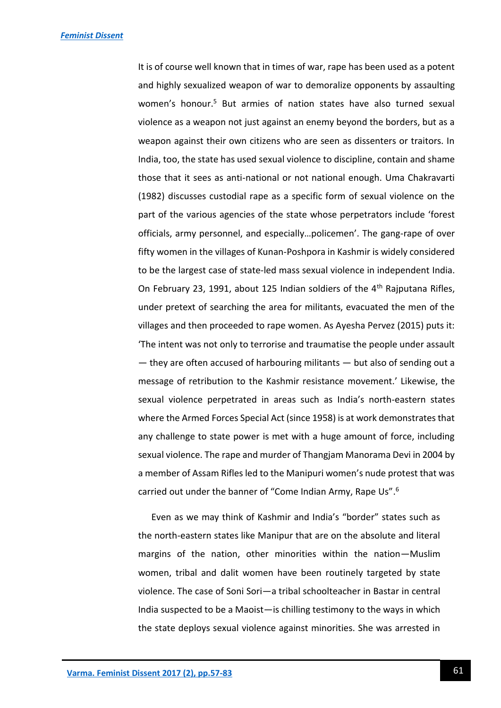It is of course well known that in times of war, rape has been used as a potent and highly sexualized weapon of war to demoralize opponents by assaulting women's honour.<sup>5</sup> But armies of nation states have also turned sexual violence as a weapon not just against an enemy beyond the borders, but as a weapon against their own citizens who are seen as dissenters or traitors. In India, too, the state has used sexual violence to discipline, contain and shame those that it sees as anti-national or not national enough. Uma Chakravarti (1982) discusses custodial rape as a specific form of sexual violence on the part of the various agencies of the state whose perpetrators include 'forest officials, army personnel, and especially…policemen'. The gang-rape of over fifty women in the villages of Kunan-Poshpora in Kashmir is widely considered to be the largest case of state-led mass sexual violence in independent India. On February 23, 1991, about 125 Indian soldiers of the  $4<sup>th</sup>$  Rajputana Rifles, under pretext of searching the area for militants, evacuated the men of the villages and then proceeded to rape women. As Ayesha Pervez (2015) puts it: 'The intent was not only to terrorise and traumatise the people under assault — they are often accused of harbouring militants — but also of sending out a message of retribution to the Kashmir resistance movement.' Likewise, the sexual violence perpetrated in areas such as India's north-eastern states where the Armed Forces Special Act (since 1958) is at work demonstrates that any challenge to state power is met with a huge amount of force, including sexual violence. The rape and murder of Thangjam Manorama Devi in 2004 by a member of Assam Rifles led to the Manipuri women's nude protest that was carried out under the banner of "Come Indian Army, Rape Us".<sup>6</sup>

Even as we may think of Kashmir and India's "border" states such as the north-eastern states like Manipur that are on the absolute and literal margins of the nation, other minorities within the nation—Muslim women, tribal and dalit women have been routinely targeted by state violence. The case of Soni Sori—a tribal schoolteacher in Bastar in central India suspected to be a Maoist—is chilling testimony to the ways in which the state deploys sexual violence against minorities. She was arrested in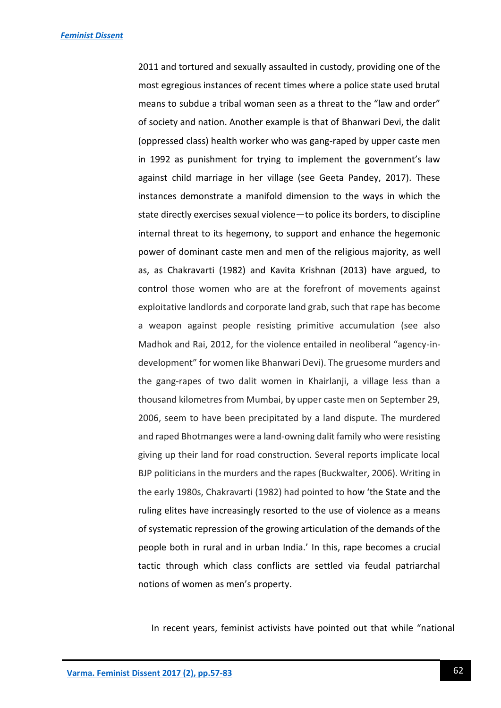2011 and tortured and sexually assaulted in custody, providing one of the most egregious instances of recent times where a police state used brutal means to subdue a tribal woman seen as a threat to the "law and order" of society and nation. Another example is that of Bhanwari Devi, the dalit (oppressed class) health worker who was gang-raped by upper caste men in 1992 as punishment for trying to implement the government's law against child marriage in her village (see Geeta Pandey, 2017). These instances demonstrate a manifold dimension to the ways in which the state directly exercises sexual violence—to police its borders, to discipline internal threat to its hegemony, to support and enhance the hegemonic power of dominant caste men and men of the religious majority, as well as, as Chakravarti (1982) and Kavita Krishnan (2013) have argued, to control those women who are at the forefront of movements against exploitative landlords and corporate land grab, such that rape has become a weapon against people resisting primitive accumulation (see also Madhok and Rai, 2012, for the violence entailed in neoliberal "agency-indevelopment" for women like Bhanwari Devi). The gruesome murders and the gang-rapes of two dalit women in Khairlanji, a village less than a thousand kilometres from Mumbai, by upper caste men on September 29, 2006, seem to have been precipitated by a land dispute. The murdered and raped Bhotmanges were a land-owning dalit family who were resisting giving up their land for road construction. Several reports implicate local BJP politicians in the murders and the rapes (Buckwalter, 2006). Writing in the early 1980s, Chakravarti (1982) had pointed to how 'the State and the ruling elites have increasingly resorted to the use of violence as a means of systematic repression of the growing articulation of the demands of the people both in rural and in urban India.' In this, rape becomes a crucial tactic through which class conflicts are settled via feudal patriarchal notions of women as men's property.

In recent years, feminist activists have pointed out that while "national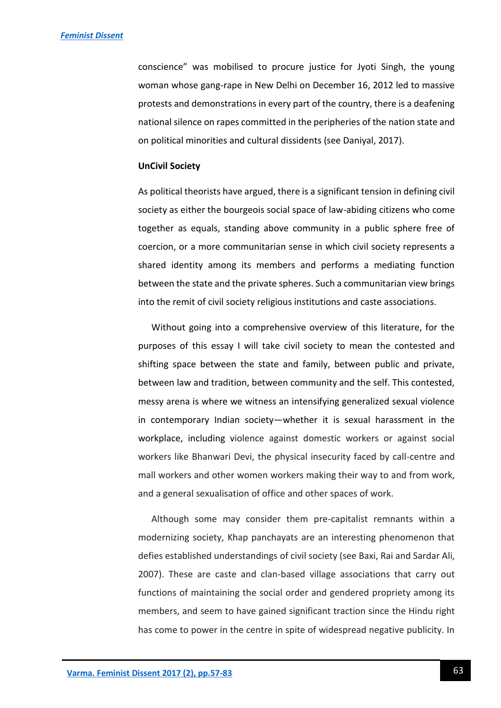conscience" was mobilised to procure justice for Jyoti Singh, the young woman whose gang-rape in New Delhi on December 16, 2012 led to massive protests and demonstrations in every part of the country, there is a deafening national silence on rapes committed in the peripheries of the nation state and on political minorities and cultural dissidents (see Daniyal, 2017).

#### **UnCivil Society**

As political theorists have argued, there is a significant tension in defining civil society as either the bourgeois social space of law-abiding citizens who come together as equals, standing above community in a public sphere free of coercion, or a more communitarian sense in which civil society represents a shared identity among its members and performs a mediating function between the state and the private spheres. Such a communitarian view brings into the remit of civil society religious institutions and caste associations.

Without going into a comprehensive overview of this literature, for the purposes of this essay I will take civil society to mean the contested and shifting space between the state and family, between public and private, between law and tradition, between community and the self. This contested, messy arena is where we witness an intensifying generalized sexual violence in contemporary Indian society—whether it is sexual harassment in the workplace, including violence against domestic workers or against social workers like Bhanwari Devi, the physical insecurity faced by call-centre and mall workers and other women workers making their way to and from work, and a general sexualisation of office and other spaces of work.

Although some may consider them pre-capitalist remnants within a modernizing society, Khap panchayats are an interesting phenomenon that defies established understandings of civil society (see Baxi, Rai and Sardar Ali, 2007). These are caste and clan-based village associations that carry out functions of maintaining the social order and gendered propriety among its members, and seem to have gained significant traction since the Hindu right has come to power in the centre in spite of widespread negative publicity. In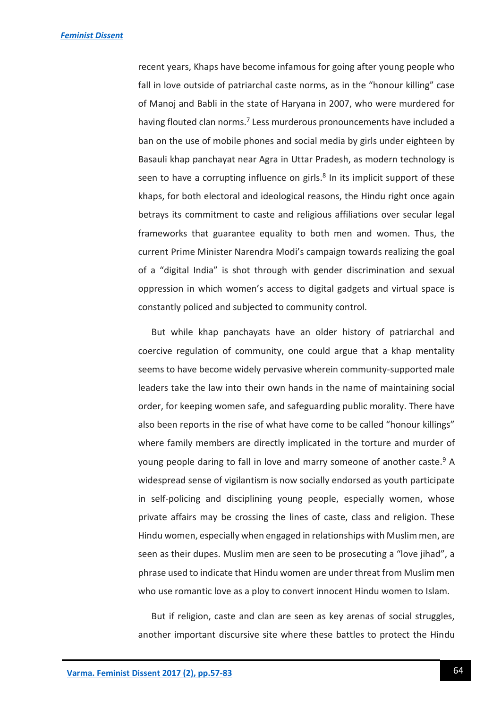recent years, Khaps have become infamous for going after young people who fall in love outside of patriarchal caste norms, as in the "honour killing" case of Manoj and Babli in the state of Haryana in 2007, who were murdered for having flouted clan norms.<sup>7</sup> Less murderous pronouncements have included a ban on the use of mobile phones and social media by girls under eighteen by Basauli khap panchayat near Agra in Uttar Pradesh, as modern technology is seen to have a corrupting influence on girls. $8$  In its implicit support of these khaps, for both electoral and ideological reasons, the Hindu right once again betrays its commitment to caste and religious affiliations over secular legal frameworks that guarantee equality to both men and women. Thus, the current Prime Minister Narendra Modi's campaign towards realizing the goal of a "digital India" is shot through with gender discrimination and sexual oppression in which women's access to digital gadgets and virtual space is constantly policed and subjected to community control.

But while khap panchayats have an older history of patriarchal and coercive regulation of community, one could argue that a khap mentality seems to have become widely pervasive wherein community-supported male leaders take the law into their own hands in the name of maintaining social order, for keeping women safe, and safeguarding public morality. There have also been reports in the rise of what have come to be called "honour killings" where family members are directly implicated in the torture and murder of young people daring to fall in love and marry someone of another caste.<sup>9</sup> A widespread sense of vigilantism is now socially endorsed as youth participate in self-policing and disciplining young people, especially women, whose private affairs may be crossing the lines of caste, class and religion. These Hindu women, especially when engaged in relationships with Muslim men, are seen as their dupes. Muslim men are seen to be prosecuting a "love jihad", a phrase used to indicate that Hindu women are under threat from Muslim men who use romantic love as a ploy to convert innocent Hindu women to Islam.

But if religion, caste and clan are seen as key arenas of social struggles, another important discursive site where these battles to protect the Hindu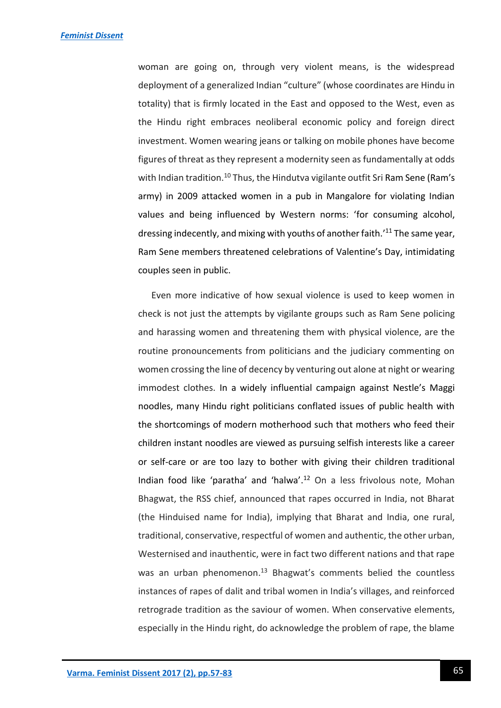woman are going on, through very violent means, is the widespread deployment of a generalized Indian "culture" (whose coordinates are Hindu in totality) that is firmly located in the East and opposed to the West, even as the Hindu right embraces neoliberal economic policy and foreign direct investment. Women wearing jeans or talking on mobile phones have become figures of threat as they represent a modernity seen as fundamentally at odds with Indian tradition.<sup>10</sup> Thus, the Hindutva vigilante outfit Sri Ram Sene (Ram's army) in 2009 attacked women in a pub in Mangalore for violating Indian values and being influenced by Western norms: 'for consuming alcohol, dressing indecently, and mixing with youths of another faith.'<sup>11</sup> The same year, Ram Sene members threatened celebrations of Valentine's Day, intimidating couples seen in public.

Even more indicative of how sexual violence is used to keep women in check is not just the attempts by vigilante groups such as Ram Sene policing and harassing women and threatening them with physical violence, are the routine pronouncements from politicians and the judiciary commenting on women crossing the line of decency by venturing out alone at night or wearing immodest clothes. In a widely influential campaign against Nestle's Maggi noodles, many Hindu right politicians conflated issues of public health with the shortcomings of modern motherhood such that mothers who feed their children instant noodles are viewed as pursuing selfish interests like a career or self-care or are too lazy to bother with giving their children traditional Indian food like 'paratha' and 'halwa'. <sup>12</sup> On a less frivolous note, Mohan Bhagwat, the RSS chief, announced that rapes occurred in India, not Bharat (the Hinduised name for India), implying that Bharat and India, one rural, traditional, conservative, respectful of women and authentic, the other urban, Westernised and inauthentic, were in fact two different nations and that rape was an urban phenomenon.<sup>13</sup> Bhagwat's comments belied the countless instances of rapes of dalit and tribal women in India's villages, and reinforced retrograde tradition as the saviour of women. When conservative elements, especially in the Hindu right, do acknowledge the problem of rape, the blame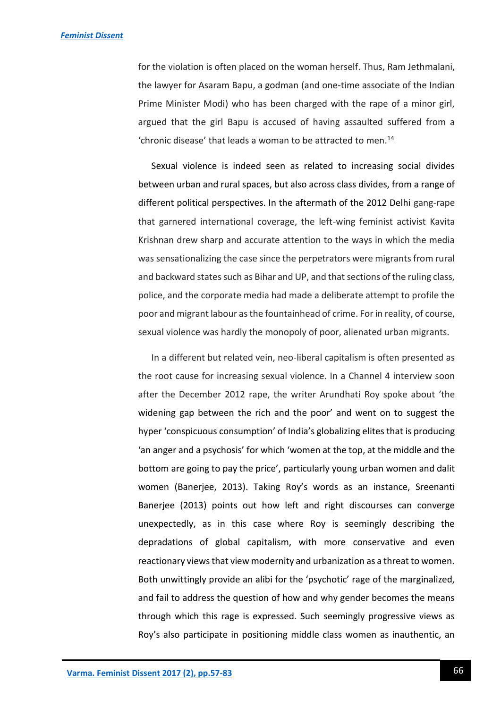for the violation is often placed on the woman herself. Thus, Ram Jethmalani, the lawyer for Asaram Bapu, a godman (and one-time associate of the Indian Prime Minister Modi) who has been charged with the rape of a minor girl, argued that the girl Bapu is accused of having assaulted suffered from a 'chronic disease' that leads a woman to be attracted to men.<sup>14</sup>

Sexual violence is indeed seen as related to increasing social divides between urban and rural spaces, but also across class divides, from a range of different political perspectives. In the aftermath of the 2012 Delhi gang-rape that garnered international coverage, the left-wing feminist activist Kavita Krishnan drew sharp and accurate attention to the ways in which the media was sensationalizing the case since the perpetrators were migrants from rural and backward states such as Bihar and UP, and that sections of the ruling class, police, and the corporate media had made a deliberate attempt to profile the poor and migrant labour as the fountainhead of crime. For in reality, of course, sexual violence was hardly the monopoly of poor, alienated urban migrants.

In a different but related vein, neo-liberal capitalism is often presented as the root cause for increasing sexual violence. In a Channel 4 interview soon after the December 2012 rape, the writer Arundhati Roy spoke about 'the widening gap between the rich and the poor' and went on to suggest the hyper 'conspicuous consumption' of India's globalizing elites that is producing 'an anger and a psychosis' for which 'women at the top, at the middle and the bottom are going to pay the price', particularly young urban women and dalit women (Banerjee, 2013). Taking Roy's words as an instance, Sreenanti Banerjee (2013) points out how left and right discourses can converge unexpectedly, as in this case where Roy is seemingly describing the depradations of global capitalism, with more conservative and even reactionary views that view modernity and urbanization as a threat to women. Both unwittingly provide an alibi for the 'psychotic' rage of the marginalized, and fail to address the question of how and why gender becomes the means through which this rage is expressed. Such seemingly progressive views as Roy's also participate in positioning middle class women as inauthentic, an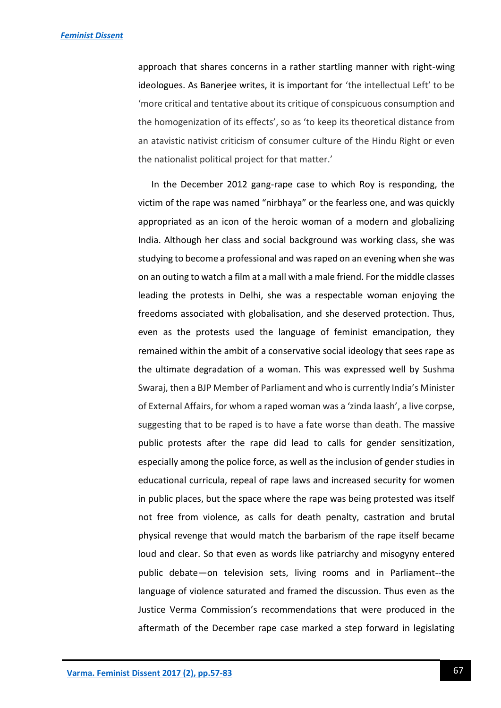approach that shares concerns in a rather startling manner with right-wing ideologues. As Banerjee writes, it is important for 'the intellectual Left' to be 'more critical and tentative about its critique of conspicuous consumption and the homogenization of its effects', so as 'to keep its theoretical distance from an atavistic nativist criticism of consumer culture of the Hindu Right or even the nationalist political project for that matter.'

In the December 2012 gang-rape case to which Roy is responding, the victim of the rape was named "nirbhaya" or the fearless one, and was quickly appropriated as an icon of the heroic woman of a modern and globalizing India. Although her class and social background was working class, she was studying to become a professional and was raped on an evening when she was on an outing to watch a film at a mall with a male friend. For the middle classes leading the protests in Delhi, she was a respectable woman enjoying the freedoms associated with globalisation, and she deserved protection. Thus, even as the protests used the language of feminist emancipation, they remained within the ambit of a conservative social ideology that sees rape as the ultimate degradation of a woman. This was expressed well by Sushma Swaraj, then a BJP Member of Parliament and who is currently India's Minister of External Affairs, for whom a raped woman was a 'zinda laash', a live corpse, suggesting that to be raped is to have a fate worse than death. The massive public protests after the rape did lead to calls for gender sensitization, especially among the police force, as well as the inclusion of gender studies in educational curricula, repeal of rape laws and increased security for women in public places, but the space where the rape was being protested was itself not free from violence, as calls for death penalty, castration and brutal physical revenge that would match the barbarism of the rape itself became loud and clear. So that even as words like patriarchy and misogyny entered public debate—on television sets, living rooms and in Parliament--the language of violence saturated and framed the discussion. Thus even as the Justice Verma Commission's recommendations that were produced in the aftermath of the December rape case marked a step forward in legislating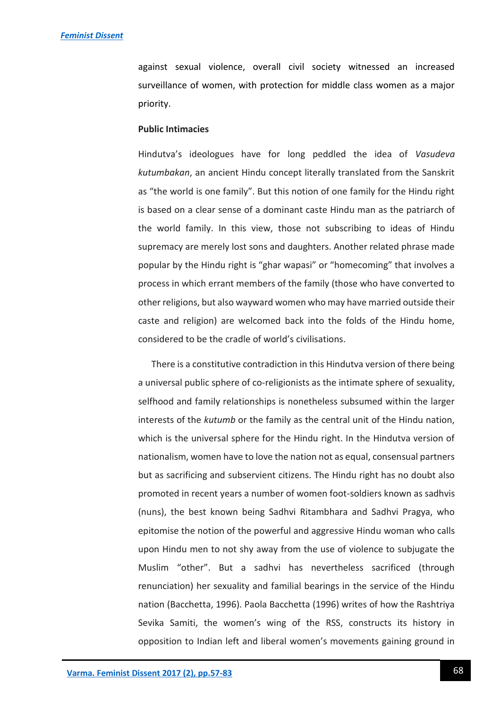against sexual violence, overall civil society witnessed an increased surveillance of women, with protection for middle class women as a major priority.

#### **Public Intimacies**

Hindutva's ideologues have for long peddled the idea of *Vasudeva kutumbakan*, an ancient Hindu concept literally translated from the Sanskrit as "the world is one family". But this notion of one family for the Hindu right is based on a clear sense of a dominant caste Hindu man as the patriarch of the world family. In this view, those not subscribing to ideas of Hindu supremacy are merely lost sons and daughters. Another related phrase made popular by the Hindu right is "ghar wapasi" or "homecoming" that involves a process in which errant members of the family (those who have converted to other religions, but also wayward women who may have married outside their caste and religion) are welcomed back into the folds of the Hindu home, considered to be the cradle of world's civilisations.

There is a constitutive contradiction in this Hindutva version of there being a universal public sphere of co-religionists as the intimate sphere of sexuality, selfhood and family relationships is nonetheless subsumed within the larger interests of the *kutumb* or the family as the central unit of the Hindu nation, which is the universal sphere for the Hindu right. In the Hindutva version of nationalism, women have to love the nation not as equal, consensual partners but as sacrificing and subservient citizens. The Hindu right has no doubt also promoted in recent years a number of women foot-soldiers known as sadhvis (nuns), the best known being Sadhvi Ritambhara and Sadhvi Pragya, who epitomise the notion of the powerful and aggressive Hindu woman who calls upon Hindu men to not shy away from the use of violence to subjugate the Muslim "other". But a sadhvi has nevertheless sacrificed (through renunciation) her sexuality and familial bearings in the service of the Hindu nation (Bacchetta, 1996). Paola Bacchetta (1996) writes of how the Rashtriya Sevika Samiti, the women's wing of the RSS, constructs its history in opposition to Indian left and liberal women's movements gaining ground in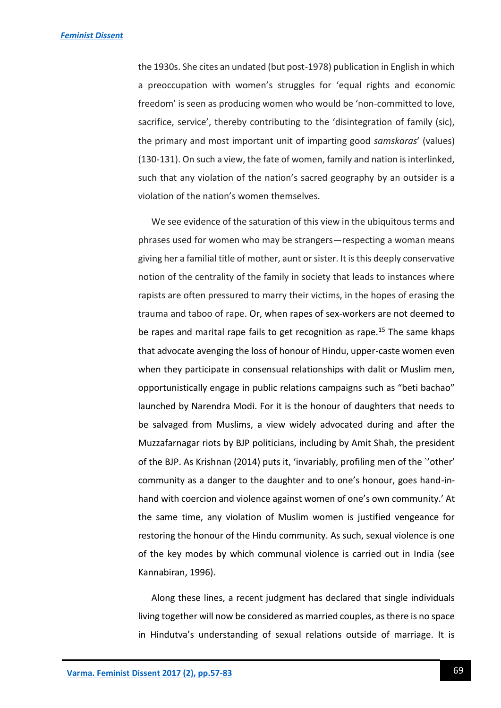the 1930s. She cites an undated (but post-1978) publication in English in which a preoccupation with women's struggles for 'equal rights and economic freedom' is seen as producing women who would be 'non-committed to love, sacrifice, service', thereby contributing to the 'disintegration of family (sic), the primary and most important unit of imparting good *samskaras*' (values) (130-131). On such a view, the fate of women, family and nation is interlinked, such that any violation of the nation's sacred geography by an outsider is a violation of the nation's women themselves.

We see evidence of the saturation of this view in the ubiquitous terms and phrases used for women who may be strangers—respecting a woman means giving her a familial title of mother, aunt or sister. It is this deeply conservative notion of the centrality of the family in society that leads to instances where rapists are often pressured to marry their victims, in the hopes of erasing the trauma and taboo of rape. Or, when rapes of sex-workers are not deemed to be rapes and marital rape fails to get recognition as rape.<sup>15</sup> The same khaps that advocate avenging the loss of honour of Hindu, upper-caste women even when they participate in consensual relationships with dalit or Muslim men, opportunistically engage in public relations campaigns such as "beti bachao" launched by Narendra Modi. For it is the honour of daughters that needs to be salvaged from Muslims, a view widely advocated during and after the Muzzafarnagar riots by BJP politicians, including by Amit Shah, the president of the BJP. As Krishnan (2014) puts it, 'invariably, profiling men of the `'other' community as a danger to the daughter and to one's honour, goes hand-inhand with coercion and violence against women of one's own community.' At the same time, any violation of Muslim women is justified vengeance for restoring the honour of the Hindu community. As such, sexual violence is one of the key modes by which communal violence is carried out in India (see Kannabiran, 1996).

Along these lines, a recent judgment has declared that single individuals living together will now be considered as married couples, as there is no space in Hindutva's understanding of sexual relations outside of marriage. It is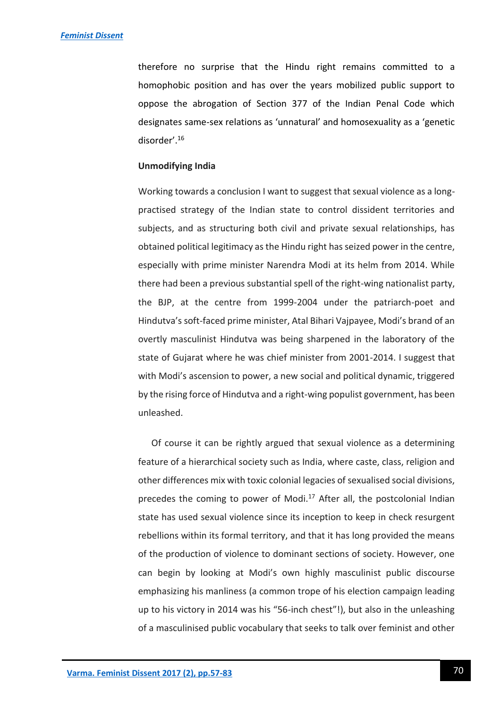therefore no surprise that the Hindu right remains committed to a homophobic position and has over the years mobilized public support to oppose the abrogation of Section 377 of the Indian Penal Code which designates same-sex relations as 'unnatural' and homosexuality as a 'genetic disorder'. 16

#### **Unmodifying India**

Working towards a conclusion I want to suggest that sexual violence as a longpractised strategy of the Indian state to control dissident territories and subjects, and as structuring both civil and private sexual relationships, has obtained political legitimacy as the Hindu right has seized power in the centre, especially with prime minister Narendra Modi at its helm from 2014. While there had been a previous substantial spell of the right-wing nationalist party, the BJP, at the centre from 1999-2004 under the patriarch-poet and Hindutva's soft-faced prime minister, Atal Bihari Vajpayee, Modi's brand of an overtly masculinist Hindutva was being sharpened in the laboratory of the state of Gujarat where he was chief minister from 2001-2014. I suggest that with Modi's ascension to power, a new social and political dynamic, triggered by the rising force of Hindutva and a right-wing populist government, has been unleashed.

Of course it can be rightly argued that sexual violence as a determining feature of a hierarchical society such as India, where caste, class, religion and other differences mix with toxic colonial legacies of sexualised social divisions, precedes the coming to power of Modi.<sup>17</sup> After all, the postcolonial Indian state has used sexual violence since its inception to keep in check resurgent rebellions within its formal territory, and that it has long provided the means of the production of violence to dominant sections of society. However, one can begin by looking at Modi's own highly masculinist public discourse emphasizing his manliness (a common trope of his election campaign leading up to his victory in 2014 was his "56-inch chest"!), but also in the unleashing of a masculinised public vocabulary that seeks to talk over feminist and other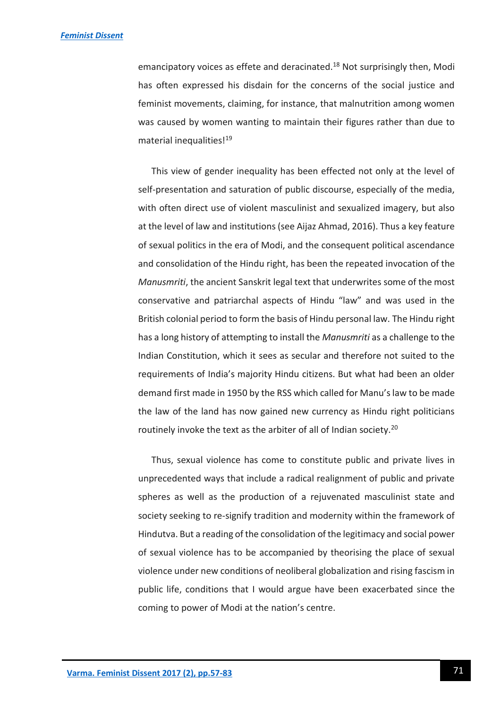emancipatory voices as effete and deracinated.<sup>18</sup> Not surprisingly then, Modi has often expressed his disdain for the concerns of the social justice and feminist movements, claiming, for instance, that malnutrition among women was caused by women wanting to maintain their figures rather than due to material inequalities!<sup>19</sup>

This view of gender inequality has been effected not only at the level of self-presentation and saturation of public discourse, especially of the media, with often direct use of violent masculinist and sexualized imagery, but also at the level of law and institutions (see Aijaz Ahmad, 2016). Thus a key feature of sexual politics in the era of Modi, and the consequent political ascendance and consolidation of the Hindu right, has been the repeated invocation of the *Manusmriti*, the ancient Sanskrit legal text that underwrites some of the most conservative and patriarchal aspects of Hindu "law" and was used in the British colonial period to form the basis of Hindu personal law. The Hindu right has a long history of attempting to install the *Manusmriti* as a challenge to the Indian Constitution, which it sees as secular and therefore not suited to the requirements of India's majority Hindu citizens. But what had been an older demand first made in 1950 by the RSS which called for Manu's law to be made the law of the land has now gained new currency as Hindu right politicians routinely invoke the text as the arbiter of all of Indian society.<sup>20</sup>

Thus, sexual violence has come to constitute public and private lives in unprecedented ways that include a radical realignment of public and private spheres as well as the production of a rejuvenated masculinist state and society seeking to re-signify tradition and modernity within the framework of Hindutva. But a reading of the consolidation of the legitimacy and social power of sexual violence has to be accompanied by theorising the place of sexual violence under new conditions of neoliberal globalization and rising fascism in public life, conditions that I would argue have been exacerbated since the coming to power of Modi at the nation's centre.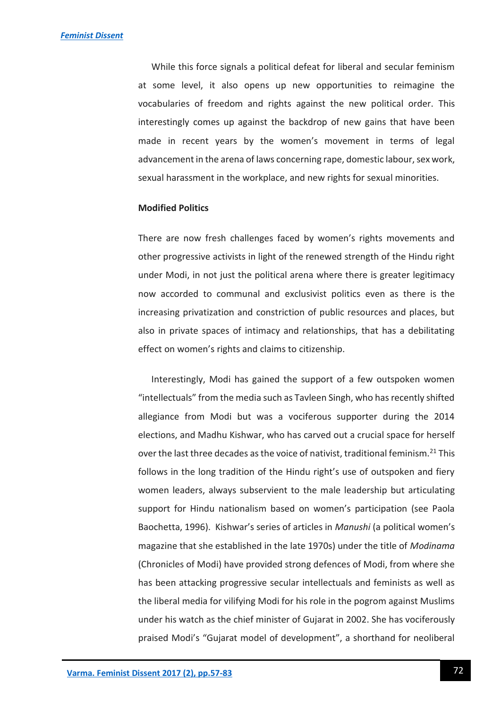While this force signals a political defeat for liberal and secular feminism at some level, it also opens up new opportunities to reimagine the vocabularies of freedom and rights against the new political order. This interestingly comes up against the backdrop of new gains that have been made in recent years by the women's movement in terms of legal advancement in the arena of laws concerning rape, domestic labour, sex work, sexual harassment in the workplace, and new rights for sexual minorities.

#### **Modified Politics**

There are now fresh challenges faced by women's rights movements and other progressive activists in light of the renewed strength of the Hindu right under Modi, in not just the political arena where there is greater legitimacy now accorded to communal and exclusivist politics even as there is the increasing privatization and constriction of public resources and places, but also in private spaces of intimacy and relationships, that has a debilitating effect on women's rights and claims to citizenship.

Interestingly, Modi has gained the support of a few outspoken women "intellectuals" from the media such as Tavleen Singh, who has recently shifted allegiance from Modi but was a vociferous supporter during the 2014 elections, and Madhu Kishwar, who has carved out a crucial space for herself over the last three decades as the voice of nativist, traditional feminism.<sup>21</sup> This follows in the long tradition of the Hindu right's use of outspoken and fiery women leaders, always subservient to the male leadership but articulating support for Hindu nationalism based on women's participation (see Paola Baochetta, 1996). Kishwar's series of articles in *Manushi* (a political women's magazine that she established in the late 1970s) under the title of *Modinama* (Chronicles of Modi) have provided strong defences of Modi, from where she has been attacking progressive secular intellectuals and feminists as well as the liberal media for vilifying Modi for his role in the pogrom against Muslims under his watch as the chief minister of Gujarat in 2002. She has vociferously praised Modi's "Gujarat model of development", a shorthand for neoliberal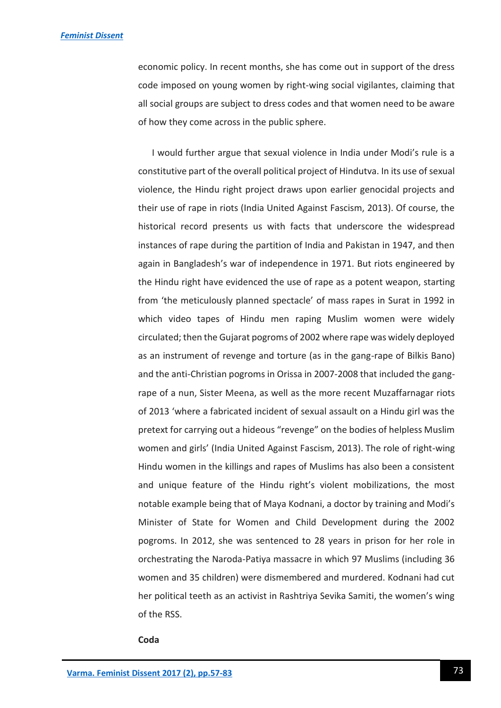economic policy. In recent months, she has come out in support of the dress code imposed on young women by right-wing social vigilantes, claiming that all social groups are subject to dress codes and that women need to be aware of how they come across in the public sphere.

 I would further argue that sexual violence in India under Modi's rule is a constitutive part of the overall political project of Hindutva. In its use of sexual violence, the Hindu right project draws upon earlier genocidal projects and their use of rape in riots (India United Against Fascism, 2013). Of course, the historical record presents us with facts that underscore the widespread instances of rape during the partition of India and Pakistan in 1947, and then again in Bangladesh's war of independence in 1971. But riots engineered by the Hindu right have evidenced the use of rape as a potent weapon, starting from 'the meticulously planned spectacle' of mass rapes in Surat in 1992 in which video tapes of Hindu men raping Muslim women were widely circulated; then the Gujarat pogroms of 2002 where rape was widely deployed as an instrument of revenge and torture (as in the gang-rape of Bilkis Bano) and the anti-Christian pogroms in Orissa in 2007-2008 that included the gangrape of a nun, Sister Meena, as well as the more recent Muzaffarnagar riots of 2013 'where a fabricated incident of sexual assault on a Hindu girl was the pretext for carrying out a hideous "revenge" on the bodies of helpless Muslim women and girls' (India United Against Fascism, 2013). The role of right-wing Hindu women in the killings and rapes of Muslims has also been a consistent and unique feature of the Hindu right's violent mobilizations, the most notable example being that of Maya Kodnani, a doctor by training and Modi's Minister of State for Women and Child Development during the 2002 pogroms. In 2012, she was sentenced to 28 years in prison for her role in orchestrating the Naroda-Patiya massacre in which 97 Muslims (including 36 women and 35 children) were dismembered and murdered. Kodnani had cut her political teeth as an activist in Rashtriya Sevika Samiti, the women's wing of the RSS.

#### **Coda**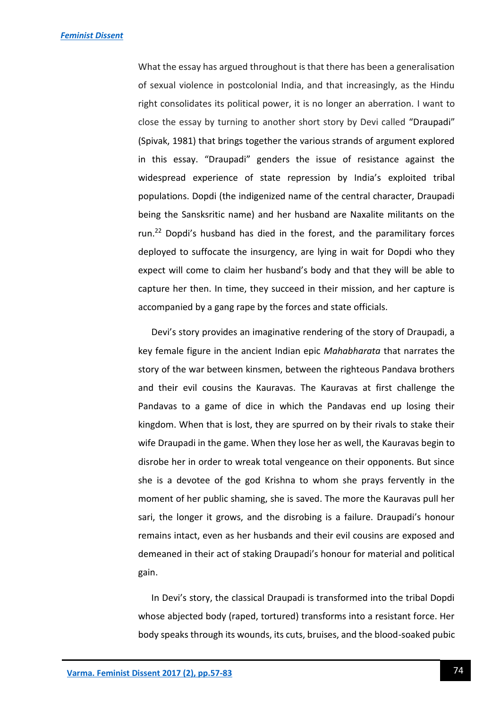What the essay has argued throughout is that there has been a generalisation of sexual violence in postcolonial India, and that increasingly, as the Hindu right consolidates its political power, it is no longer an aberration. I want to close the essay by turning to another short story by Devi called "Draupadi" (Spivak, 1981) that brings together the various strands of argument explored in this essay. "Draupadi" genders the issue of resistance against the widespread experience of state repression by India's exploited tribal populations. Dopdi (the indigenized name of the central character, Draupadi being the Sansksritic name) and her husband are Naxalite militants on the run.<sup>22</sup> Dopdi's husband has died in the forest, and the paramilitary forces deployed to suffocate the insurgency, are lying in wait for Dopdi who they expect will come to claim her husband's body and that they will be able to capture her then. In time, they succeed in their mission, and her capture is accompanied by a gang rape by the forces and state officials.

Devi's story provides an imaginative rendering of the story of Draupadi, a key female figure in the ancient Indian epic *Mahabharata* that narrates the story of the war between kinsmen, between the righteous Pandava brothers and their evil cousins the Kauravas. The Kauravas at first challenge the Pandavas to a game of dice in which the Pandavas end up losing their kingdom. When that is lost, they are spurred on by their rivals to stake their wife Draupadi in the game. When they lose her as well, the Kauravas begin to disrobe her in order to wreak total vengeance on their opponents. But since she is a devotee of the god Krishna to whom she prays fervently in the moment of her public shaming, she is saved. The more the Kauravas pull her sari, the longer it grows, and the disrobing is a failure. Draupadi's honour remains intact, even as her husbands and their evil cousins are exposed and demeaned in their act of staking Draupadi's honour for material and political gain.

In Devi's story, the classical Draupadi is transformed into the tribal Dopdi whose abjected body (raped, tortured) transforms into a resistant force. Her body speaks through its wounds, its cuts, bruises, and the blood-soaked pubic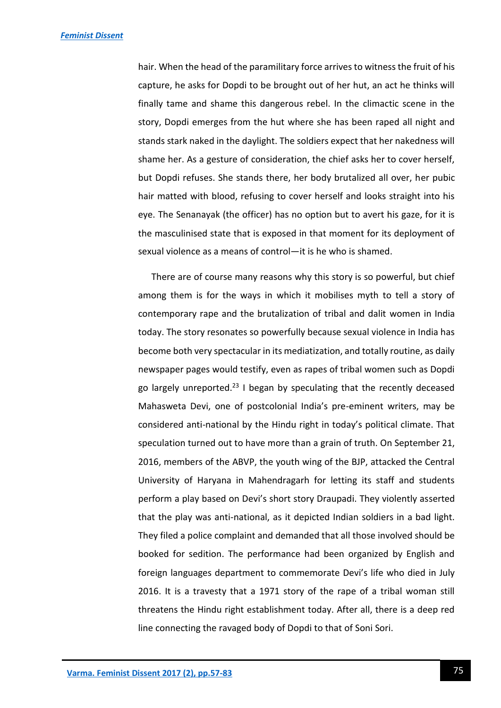hair. When the head of the paramilitary force arrives to witness the fruit of his capture, he asks for Dopdi to be brought out of her hut, an act he thinks will finally tame and shame this dangerous rebel. In the climactic scene in the story, Dopdi emerges from the hut where she has been raped all night and stands stark naked in the daylight. The soldiers expect that her nakedness will shame her. As a gesture of consideration, the chief asks her to cover herself, but Dopdi refuses. She stands there, her body brutalized all over, her pubic hair matted with blood, refusing to cover herself and looks straight into his eye. The Senanayak (the officer) has no option but to avert his gaze, for it is the masculinised state that is exposed in that moment for its deployment of sexual violence as a means of control—it is he who is shamed.

There are of course many reasons why this story is so powerful, but chief among them is for the ways in which it mobilises myth to tell a story of contemporary rape and the brutalization of tribal and dalit women in India today. The story resonates so powerfully because sexual violence in India has become both very spectacular in its mediatization, and totally routine, as daily newspaper pages would testify, even as rapes of tribal women such as Dopdi go largely unreported.<sup>23</sup> I began by speculating that the recently deceased Mahasweta Devi, one of postcolonial India's pre-eminent writers, may be considered anti-national by the Hindu right in today's political climate. That speculation turned out to have more than a grain of truth. On September 21, 2016, members of the ABVP, the youth wing of the BJP, attacked the Central University of Haryana in Mahendragarh for letting its staff and students perform a play based on Devi's short story Draupadi. They violently asserted that the play was anti-national, as it depicted Indian soldiers in a bad light. They filed a police complaint and demanded that all those involved should be booked for sedition. The performance had been organized by English and foreign languages department to commemorate Devi's life who died in July 2016. It is a travesty that a 1971 story of the rape of a tribal woman still threatens the Hindu right establishment today. After all, there is a deep red line connecting the ravaged body of Dopdi to that of Soni Sori.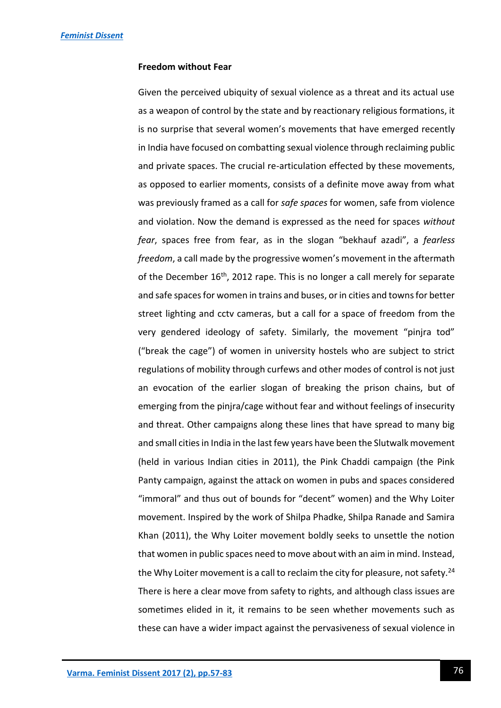#### **Freedom without Fear**

Given the perceived ubiquity of sexual violence as a threat and its actual use as a weapon of control by the state and by reactionary religious formations, it is no surprise that several women's movements that have emerged recently in India have focused on combatting sexual violence through reclaiming public and private spaces. The crucial re-articulation effected by these movements, as opposed to earlier moments, consists of a definite move away from what was previously framed as a call for *safe spaces* for women, safe from violence and violation. Now the demand is expressed as the need for spaces *without fear*, spaces free from fear, as in the slogan "bekhauf azadi", a *fearless freedom*, a call made by the progressive women's movement in the aftermath of the December  $16<sup>th</sup>$ , 2012 rape. This is no longer a call merely for separate and safe spaces for women in trains and buses, or in cities and towns for better street lighting and cctv cameras, but a call for a space of freedom from the very gendered ideology of safety. Similarly, the movement "pinjra tod" ("break the cage") of women in university hostels who are subject to strict regulations of mobility through curfews and other modes of control is not just an evocation of the earlier slogan of breaking the prison chains, but of emerging from the pinjra/cage without fear and without feelings of insecurity and threat. Other campaigns along these lines that have spread to many big and small cities in India in the last few years have been the Slutwalk movement (held in various Indian cities in 2011), the Pink Chaddi campaign (the Pink Panty campaign, against the attack on women in pubs and spaces considered "immoral" and thus out of bounds for "decent" women) and the Why Loiter movement. Inspired by the work of Shilpa Phadke, Shilpa Ranade and Samira Khan (2011), the Why Loiter movement boldly seeks to unsettle the notion that women in public spaces need to move about with an aim in mind. Instead, the Why Loiter movement is a call to reclaim the city for pleasure, not safety.<sup>24</sup> There is here a clear move from safety to rights, and although class issues are sometimes elided in it, it remains to be seen whether movements such as these can have a wider impact against the pervasiveness of sexual violence in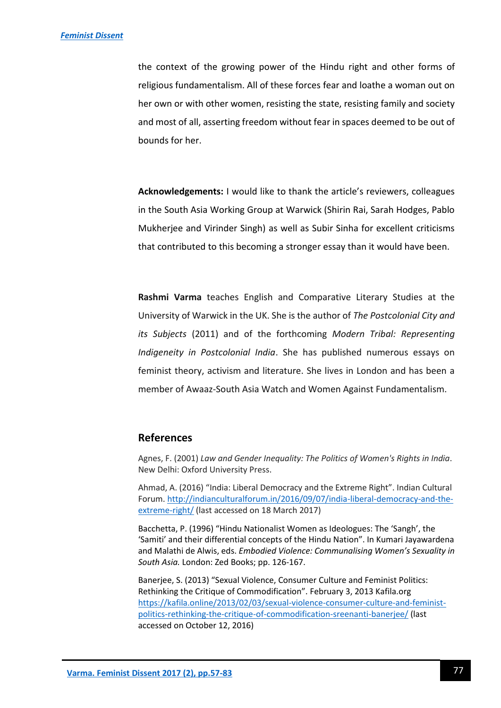the context of the growing power of the Hindu right and other forms of religious fundamentalism. All of these forces fear and loathe a woman out on her own or with other women, resisting the state, resisting family and society and most of all, asserting freedom without fear in spaces deemed to be out of bounds for her.

**Acknowledgements:** I would like to thank the article's reviewers, colleagues in the South Asia Working Group at Warwick (Shirin Rai, Sarah Hodges, Pablo Mukherjee and Virinder Singh) as well as Subir Sinha for excellent criticisms that contributed to this becoming a stronger essay than it would have been.

**Rashmi Varma** teaches English and Comparative Literary Studies at the University of Warwick in the UK. She is the author of *The Postcolonial City and its Subjects* (2011) and of the forthcoming *Modern Tribal: Representing Indigeneity in Postcolonial India*. She has published numerous essays on feminist theory, activism and literature. She lives in London and has been a member of Awaaz-South Asia Watch and Women Against Fundamentalism.

## **References**

Agnes, F. (2001) *Law and Gender Inequality: The Politics of Women's Rights in India*. New Delhi: Oxford University Press.

Ahmad, A. (2016) "India: Liberal Democracy and the Extreme Right". Indian Cultural Forum[. http://indianculturalforum.in/2016/09/07/india-liberal-democracy-and-the](http://indianculturalforum.in/2016/09/07/india-liberal-democracy-and-the-extreme-right/)[extreme-right/](http://indianculturalforum.in/2016/09/07/india-liberal-democracy-and-the-extreme-right/) (last accessed on 18 March 2017)

Bacchetta, P. (1996) "Hindu Nationalist Women as Ideologues: The 'Sangh', the 'Samiti' and their differential concepts of the Hindu Nation". In Kumari Jayawardena and Malathi de Alwis, eds. *Embodied Violence: Communalising Women's Sexuality in South Asia.* London: Zed Books; pp. 126-167.

Banerjee, S. (2013) "Sexual Violence, Consumer Culture and Feminist Politics: Rethinking the Critique of Commodification". February 3, 2013 Kafila.org [https://kafila.online/2013/02/03/sexual-violence-consumer-culture-and-feminist](https://kafila.online/2013/02/03/sexual-violence-consumer-culture-and-feminist-politics-rethinking-the-critique-of-commodification-sreenanti-banerjee/)[politics-rethinking-the-critique-of-commodification-sreenanti-banerjee/](https://kafila.online/2013/02/03/sexual-violence-consumer-culture-and-feminist-politics-rethinking-the-critique-of-commodification-sreenanti-banerjee/) (last accessed on October 12, 2016)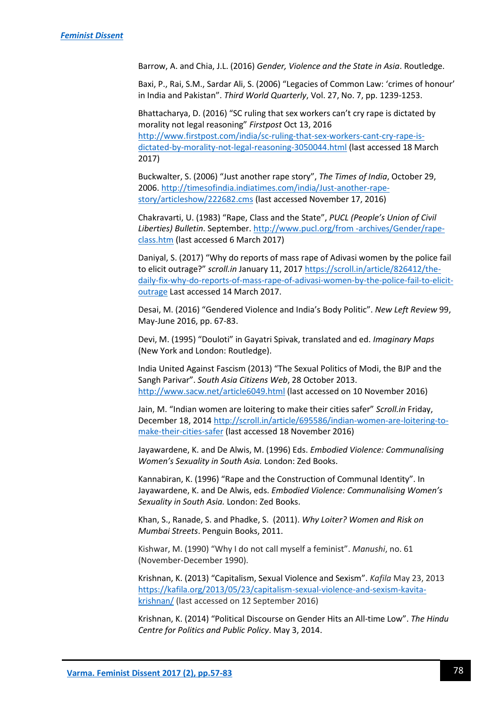Barrow, A. and Chia, J.L. (2016) *Gender, Violence and the State in Asia*. Routledge.

Baxi, P., Rai, S.M., Sardar Ali, S. (2006) "Legacies of Common Law: 'crimes of honour' in India and Pakistan". *Third World Quarterly*, Vol. 27, No. 7, pp. 1239-1253.

Bhattacharya, D. (2016) "SC ruling that sex workers can't cry rape is dictated by morality not legal reasoning" *Firstpost* Oct 13, 2016 [http://www.firstpost.com/india/sc-ruling-that-sex-workers-cant-cry-rape-is](http://www.firstpost.com/india/sc-ruling-that-sex-workers-cant-cry-rape-is-dictated-by-morality-not-legal-reasoning-3050044.html)[dictated-by-morality-not-legal-reasoning-3050044.html](http://www.firstpost.com/india/sc-ruling-that-sex-workers-cant-cry-rape-is-dictated-by-morality-not-legal-reasoning-3050044.html) (last accessed 18 March 2017)

Buckwalter, S. (2006) "Just another rape story", *The Times of India*, October 29, 2006[. http://timesofindia.indiatimes.com/india/Just-another-rape](http://timesofindia.indiatimes.com/india/Just-another-rape-story/articleshow/222682.cms)[story/articleshow/222682.cms](http://timesofindia.indiatimes.com/india/Just-another-rape-story/articleshow/222682.cms) (last accessed November 17, 2016)

Chakravarti, U. (1983) "Rape, Class and the State", *PUCL (People's Union of Civil Liberties) Bulletin*. September. [http://www.pucl.org/from -archives/Gender/rape](http://www.pucl.org/from%20-archives/Gender/rape-class.htm)[class.htm](http://www.pucl.org/from%20-archives/Gender/rape-class.htm) (last accessed 6 March 2017)

Daniyal, S. (2017) "Why do reports of mass rape of Adivasi women by the police fail to elicit outrage?" *scroll.in* January 11, 2017 [https://scroll.in/article/826412/the](https://scroll.in/article/826412/the-daily-fix-why-do-reports-of-mass-rape-of-adivasi-women-by-the-police-fail-to-elicit-outrage)[daily-fix-why-do-reports-of-mass-rape-of-adivasi-women-by-the-police-fail-to-elicit](https://scroll.in/article/826412/the-daily-fix-why-do-reports-of-mass-rape-of-adivasi-women-by-the-police-fail-to-elicit-outrage)[outrage](https://scroll.in/article/826412/the-daily-fix-why-do-reports-of-mass-rape-of-adivasi-women-by-the-police-fail-to-elicit-outrage) Last accessed 14 March 2017.

Desai, M. (2016) "Gendered Violence and India's Body Politic". *New Left Review* 99, May-June 2016, pp. 67-83.

Devi, M. (1995) "Douloti" in Gayatri Spivak, translated and ed. *Imaginary Maps* (New York and London: Routledge).

India United Against Fascism (2013) "The Sexual Politics of Modi, the BJP and the Sangh Parivar". *South Asia Citizens Web*, 28 October 2013. <http://www.sacw.net/article6049.html> (last accessed on 10 November 2016)

Jain, M. "Indian women are loitering to make their cities safer" *Scroll.in* Friday, December 18, 2014 [http://scroll.in/article/695586/indian-women-are-loitering-to](http://scroll.in/article/695586/indian-women-are-loitering-to-make-their-cities-safer)[make-their-cities-safer](http://scroll.in/article/695586/indian-women-are-loitering-to-make-their-cities-safer) (last accessed 18 November 2016)

Jayawardene, K. and De Alwis, M. (1996) Eds. *Embodied Violence: Communalising Women's Sexuality in South Asia.* London: Zed Books.

Kannabiran, K. (1996) "Rape and the Construction of Communal Identity". In Jayawardene, K. and De Alwis, eds. *Embodied Violence: Communalising Women's Sexuality in South Asia.* London: Zed Books.

Khan, S., Ranade, S. and Phadke, S. (2011). *Why Loiter? Women and Risk on Mumbai Streets*. Penguin Books, 2011.

Kishwar, M. (1990) "Why I do not call myself a feminist". *Manushi*, no. 61 (November-December 1990).

Krishnan, K. (2013) "Capitalism, Sexual Violence and Sexism". *Kafila* May 23, 2013 [https://kafila.org/2013/05/23/capitalism-sexual-violence-and-sexism-kavita](https://kafila.org/2013/05/23/capitalism-sexual-violence-and-sexism-kavita-krishnan/)[krishnan/](https://kafila.org/2013/05/23/capitalism-sexual-violence-and-sexism-kavita-krishnan/) (last accessed on 12 September 2016)

Krishnan, K. (2014) "Political Discourse on Gender Hits an All-time Low". *The Hindu Centre for Politics and Public Policy*. May 3, 2014.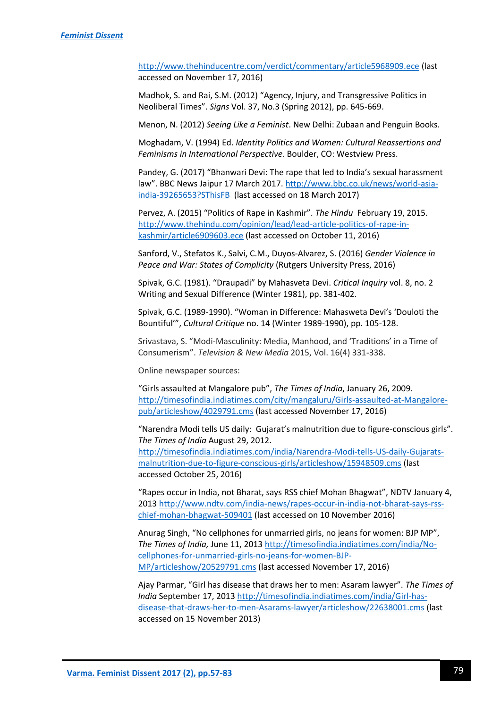<http://www.thehinducentre.com/verdict/commentary/article5968909.ece> (last accessed on November 17, 2016)

Madhok, S. and Rai, S.M. (2012) "Agency, Injury, and Transgressive Politics in Neoliberal Times". *Signs* Vol. 37, No.3 (Spring 2012), pp. 645-669.

Menon, N. (2012) *Seeing Like a Feminist*. New Delhi: Zubaan and Penguin Books.

Moghadam, V. (1994) Ed. *Identity Politics and Women: Cultural Reassertions and Feminisms in International Perspective*. Boulder, CO: Westview Press.

Pandey, G. (2017) "Bhanwari Devi: The rape that led to India's sexual harassment law". BBC News Jaipur 17 March 2017. [http://www.bbc.co.uk/news/world-asia](http://www.bbc.co.uk/news/world-asia-india-39265653?SThisFB)[india-39265653?SThisFB](http://www.bbc.co.uk/news/world-asia-india-39265653?SThisFB) (last accessed on 18 March 2017)

Pervez, A. (2015) "Politics of Rape in Kashmir". *The Hindu* February 19, 2015. [http://www.thehindu.com/opinion/lead/lead-article-politics-of-rape-in](http://www.thehindu.com/opinion/lead/lead-article-politics-of-rape-in-kashmir/article6909603.ece)[kashmir/article6909603.ece](http://www.thehindu.com/opinion/lead/lead-article-politics-of-rape-in-kashmir/article6909603.ece) (last accessed on October 11, 2016)

Sanford, V., Stefatos K., Salvi, C.M., Duyos-Alvarez, S. (2016) *Gender Violence in Peace and War: States of Complicity* (Rutgers University Press, 2016)

Spivak, G.C. (1981). "Draupadi" by Mahasveta Devi. *Critical Inquiry* vol. 8, no. 2 Writing and Sexual Difference (Winter 1981), pp. 381-402.

Spivak, G.C. (1989-1990). "Woman in Difference: Mahasweta Devi's 'Douloti the Bountiful'", *Cultural Critique* no. 14 (Winter 1989-1990), pp. 105-128.

Srivastava, S. "Modi-Masculinity: Media, Manhood, and 'Traditions' in a Time of Consumerism". *Television & New Media* 2015, Vol. 16(4) 331-338.

Online newspaper sources:

"Girls assaulted at Mangalore pub", *The Times of India*, January 26, 2009. [http://timesofindia.indiatimes.com/city/mangaluru/Girls-assaulted-at-Mangalore](http://timesofindia.indiatimes.com/city/mangaluru/Girls-assaulted-at-Mangalore-pub/articleshow/4029791.cms)[pub/articleshow/4029791.cms](http://timesofindia.indiatimes.com/city/mangaluru/Girls-assaulted-at-Mangalore-pub/articleshow/4029791.cms) (last accessed November 17, 2016)

"Narendra Modi tells US daily: Gujarat's malnutrition due to figure-conscious girls". *The Times of India* August 29, 2012. [http://timesofindia.indiatimes.com/india/Narendra-Modi-tells-US-daily-Gujarats](http://timesofindia.indiatimes.com/india/Narendra-Modi-tells-US-daily-Gujarats-malnutrition-due-to-figure-conscious-girls/articleshow/15948509.cms)[malnutrition-due-to-figure-conscious-girls/articleshow/15948509.cms](http://timesofindia.indiatimes.com/india/Narendra-Modi-tells-US-daily-Gujarats-malnutrition-due-to-figure-conscious-girls/articleshow/15948509.cms) (last accessed October 25, 2016)

"Rapes occur in India, not Bharat, says RSS chief Mohan Bhagwat", NDTV January 4, 2013 [http://www.ndtv.com/india-news/rapes-occur-in-india-not-bharat-says-rss](http://www.ndtv.com/india-news/rapes-occur-in-india-not-bharat-says-rss-chief-mohan-bhagwat-509401)[chief-mohan-bhagwat-509401](http://www.ndtv.com/india-news/rapes-occur-in-india-not-bharat-says-rss-chief-mohan-bhagwat-509401) (last accessed on 10 November 2016)

Anurag Singh, "No cellphones for unmarried girls, no jeans for women: BJP MP", *The Times of India,* June 11, 201[3 http://timesofindia.indiatimes.com/india/No](http://timesofindia.indiatimes.com/india/No-cellphones-for-unmarried-girls-no-jeans-for-women-BJP-MP/articleshow/20529791.cms)[cellphones-for-unmarried-girls-no-jeans-for-women-BJP-](http://timesofindia.indiatimes.com/india/No-cellphones-for-unmarried-girls-no-jeans-for-women-BJP-MP/articleshow/20529791.cms)[MP/articleshow/20529791.cms](http://timesofindia.indiatimes.com/india/No-cellphones-for-unmarried-girls-no-jeans-for-women-BJP-MP/articleshow/20529791.cms) (last accessed November 17, 2016)

Ajay Parmar, "Girl has disease that draws her to men: Asaram lawyer". *The Times of India* September 17, 2013 [http://timesofindia.indiatimes.com/india/Girl-has](http://timesofindia.indiatimes.com/india/Girl-has-disease-that-draws-her-to-men-Asarams-lawyer/articleshow/22638001.cms)[disease-that-draws-her-to-men-Asarams-lawyer/articleshow/22638001.cms](http://timesofindia.indiatimes.com/india/Girl-has-disease-that-draws-her-to-men-Asarams-lawyer/articleshow/22638001.cms) (last accessed on 15 November 2013)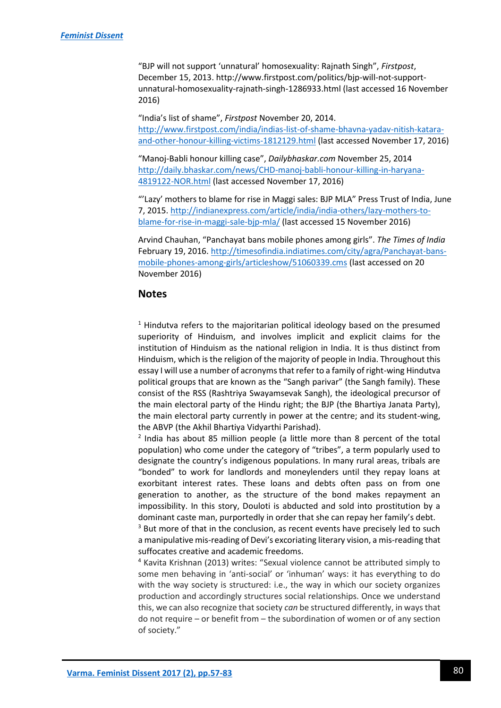"BJP will not support 'unnatural' homosexuality: Rajnath Singh", *Firstpost*, December 15, 2013. http://www.firstpost.com/politics/bjp-will-not-supportunnatural-homosexuality-rajnath-singh-1286933.html (last accessed 16 November 2016)

"India's list of shame", *Firstpost* November 20, 2014. [http://www.firstpost.com/india/indias-list-of-shame-bhavna-yadav-nitish-katara](http://www.firstpost.com/india/indias-list-of-shame-bhavna-yadav-nitish-katara-and-other-honour-killing-victims-1812129.html)[and-other-honour-killing-victims-1812129.html](http://www.firstpost.com/india/indias-list-of-shame-bhavna-yadav-nitish-katara-and-other-honour-killing-victims-1812129.html) (last accessed November 17, 2016)

"Manoj-Babli honour killing case", *Dailybhaskar.com* November 25, 2014 [http://daily.bhaskar.com/news/CHD-manoj-babli-honour-killing-in-haryana-](http://daily.bhaskar.com/news/CHD-manoj-babli-honour-killing-in-haryana-4819122-NOR.html)[4819122-NOR.html](http://daily.bhaskar.com/news/CHD-manoj-babli-honour-killing-in-haryana-4819122-NOR.html) (last accessed November 17, 2016)

"'Lazy' mothers to blame for rise in Maggi sales: BJP MLA" Press Trust of India, June 7, 2015[. http://indianexpress.com/article/india/india-others/lazy-mothers-to](http://indianexpress.com/article/india/india-others/lazy-mothers-to-blame-for-rise-in-maggi-sale-bjp-mla/)[blame-for-rise-in-maggi-sale-bjp-mla/](http://indianexpress.com/article/india/india-others/lazy-mothers-to-blame-for-rise-in-maggi-sale-bjp-mla/) (last accessed 15 November 2016)

Arvind Chauhan, "Panchayat bans mobile phones among girls". *The Times of India*  February 19, 2016[. http://timesofindia.indiatimes.com/city/agra/Panchayat-bans](http://timesofindia.indiatimes.com/city/agra/Panchayat-bans-mobile-phones-among-girls/articleshow/51060339.cms)[mobile-phones-among-girls/articleshow/51060339.cms](http://timesofindia.indiatimes.com/city/agra/Panchayat-bans-mobile-phones-among-girls/articleshow/51060339.cms) (last accessed on 20 November 2016)

## **Notes**

 $1$  Hindutva refers to the majoritarian political ideology based on the presumed superiority of Hinduism, and involves implicit and explicit claims for the institution of Hinduism as the national religion in India. It is thus distinct from Hinduism, which is the religion of the majority of people in India. Throughout this essay I will use a number of acronyms that refer to a family of right-wing Hindutva political groups that are known as the "Sangh parivar" (the Sangh family). These consist of the RSS (Rashtriya Swayamsevak Sangh), the ideological precursor of the main electoral party of the Hindu right; the BJP (the Bhartiya Janata Party), the main electoral party currently in power at the centre; and its student-wing, the ABVP (the Akhil Bhartiya Vidyarthi Parishad).

<sup>2</sup> India has about 85 million people (a little more than 8 percent of the total population) who come under the category of "tribes", a term popularly used to designate the country's indigenous populations. In many rural areas, tribals are "bonded" to work for landlords and moneylenders until they repay loans at exorbitant interest rates. These loans and debts often pass on from one generation to another, as the structure of the bond makes repayment an impossibility. In this story, Douloti is abducted and sold into prostitution by a dominant caste man, purportedly in order that she can repay her family's debt.

 $3$  But more of that in the conclusion, as recent events have precisely led to such a manipulative mis-reading of Devi's excoriating literary vision, a mis-reading that suffocates creative and academic freedoms.

<sup>4</sup> Kavita Krishnan (2013) writes: "Sexual violence cannot be attributed simply to some men behaving in 'anti-social' or 'inhuman' ways: it has everything to do with the way society is structured: i.e., the way in which our society organizes production and accordingly structures social relationships. Once we understand this, we can also recognize that society *can* be structured differently, in ways that do not require – or benefit from – the subordination of women or of any section of society."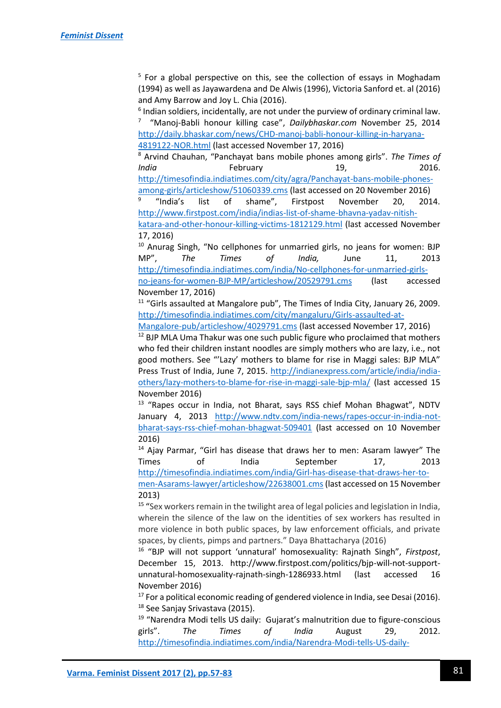<sup>5</sup> For a global perspective on this, see the collection of essays in Moghadam (1994) as well as Jayawardena and De Alwis (1996), Victoria Sanford et. al (2016) and Amy Barrow and Joy L. Chia (2016).

 $<sup>6</sup>$  Indian soldiers, incidentally, are not under the purview of ordinary criminal law.</sup> 7 "Manoj-Babli honour killing case", *Dailybhaskar.com* November 25, 2014 [http://daily.bhaskar.com/news/CHD-manoj-babli-honour-killing-in-haryana-](http://daily.bhaskar.com/news/CHD-manoj-babli-honour-killing-in-haryana-4819122-NOR.html)[4819122-NOR.html](http://daily.bhaskar.com/news/CHD-manoj-babli-honour-killing-in-haryana-4819122-NOR.html) (last accessed November 17, 2016)

<sup>8</sup> Arvind Chauhan, "Panchayat bans mobile phones among girls". *The Times of India* **February** 19, 2016. [http://timesofindia.indiatimes.com/city/agra/Panchayat-bans-mobile-phones-](http://timesofindia.indiatimes.com/city/agra/Panchayat-bans-mobile-phones-among-girls/articleshow/51060339.cms)

[among-girls/articleshow/51060339.cms](http://timesofindia.indiatimes.com/city/agra/Panchayat-bans-mobile-phones-among-girls/articleshow/51060339.cms) (last accessed on 20 November 2016) 9 "India's list of shame", Firstpost November 20, 2014. [http://www.firstpost.com/india/indias-list-of-shame-bhavna-yadav-nitish-](http://www.firstpost.com/india/indias-list-of-shame-bhavna-yadav-nitish-katara-and-other-honour-killing-victims-1812129.html)

[katara-and-other-honour-killing-victims-1812129.html](http://www.firstpost.com/india/indias-list-of-shame-bhavna-yadav-nitish-katara-and-other-honour-killing-victims-1812129.html) (last accessed November 17, 2016)

<sup>10</sup> Anurag Singh, "No cellphones for unmarried girls, no jeans for women: BJP MP", *The Times of India,* June 11, 2013 [http://timesofindia.indiatimes.com/india/No-cellphones-for-unmarried-girls-](http://timesofindia.indiatimes.com/india/No-cellphones-for-unmarried-girls-no-jeans-for-women-BJP-MP/articleshow/20529791.cms)

[no-jeans-for-women-BJP-MP/articleshow/20529791.cms](http://timesofindia.indiatimes.com/india/No-cellphones-for-unmarried-girls-no-jeans-for-women-BJP-MP/articleshow/20529791.cms) (last accessed November 17, 2016)

 $11$  "Girls assaulted at Mangalore pub", The Times of India City, January 26, 2009. [http://timesofindia.indiatimes.com/city/mangaluru/Girls-assaulted-at-](http://timesofindia.indiatimes.com/city/mangaluru/Girls-assaulted-at-Mangalore-pub/articleshow/4029791.cms)

[Mangalore-pub/articleshow/4029791.cms](http://timesofindia.indiatimes.com/city/mangaluru/Girls-assaulted-at-Mangalore-pub/articleshow/4029791.cms) (last accessed November 17, 2016)

 $12$  BJP MLA Uma Thakur was one such public figure who proclaimed that mothers who fed their children instant noodles are simply mothers who are lazy, i.e., not good mothers. See "'Lazy' mothers to blame for rise in Maggi sales: BJP MLA" Press Trust of India, June 7, 2015. [http://indianexpress.com/article/india/india](http://indianexpress.com/article/india/india-others/lazy-mothers-to-blame-for-rise-in-maggi-sale-bjp-mla/)[others/lazy-mothers-to-blame-for-rise-in-maggi-sale-bjp-mla/](http://indianexpress.com/article/india/india-others/lazy-mothers-to-blame-for-rise-in-maggi-sale-bjp-mla/) (last accessed 15 November 2016)

<sup>13</sup> "Rapes occur in India, not Bharat, says RSS chief Mohan Bhagwat", NDTV January 4, 2013 [http://www.ndtv.com/india-news/rapes-occur-in-india-not](http://www.ndtv.com/india-news/rapes-occur-in-india-not-bharat-says-rss-chief-mohan-bhagwat-509401)[bharat-says-rss-chief-mohan-bhagwat-509401](http://www.ndtv.com/india-news/rapes-occur-in-india-not-bharat-says-rss-chief-mohan-bhagwat-509401) (last accessed on 10 November 2016)

<sup>14</sup> Ajay Parmar, "Girl has disease that draws her to men: Asaram lawyer" The Times of India September 17, 2013 [http://timesofindia.indiatimes.com/india/Girl-has-disease-that-draws-her-to-](http://timesofindia.indiatimes.com/india/Girl-has-disease-that-draws-her-to-men-Asarams-lawyer/articleshow/22638001.cms)

[men-Asarams-lawyer/articleshow/22638001.cms\(](http://timesofindia.indiatimes.com/india/Girl-has-disease-that-draws-her-to-men-Asarams-lawyer/articleshow/22638001.cms)last accessed on 15 November 2013)

<sup>15</sup> "Sex workers remain in the twilight area of legal policies and legislation in India, wherein the silence of the law on the identities of sex workers has resulted in more violence in both public spaces, by law enforcement officials, and private spaces, by clients, pimps and partners." Daya Bhattacharya (2016)

<sup>16</sup> "BJP will not support 'unnatural' homosexuality: Rajnath Singh", *Firstpost*, December 15, 2013. http://www.firstpost.com/politics/bjp-will-not-supportunnatural-homosexuality-rajnath-singh-1286933.html (last accessed 16 November 2016)

<sup>17</sup> For a political economic reading of gendered violence in India, see Desai (2016). <sup>18</sup> See Sanjay Srivastava (2015).

<sup>19</sup> "Narendra Modi tells US daily: Gujarat's malnutrition due to figure-conscious girls". *The Times of India* August 29, 2012. [http://timesofindia.indiatimes.com/india/Narendra-Modi-tells-US-daily-](http://timesofindia.indiatimes.com/india/Narendra-Modi-tells-US-daily-Gujarats-malnutrition-due-to-figure-conscious-girls/articleshow/15948509.cms)